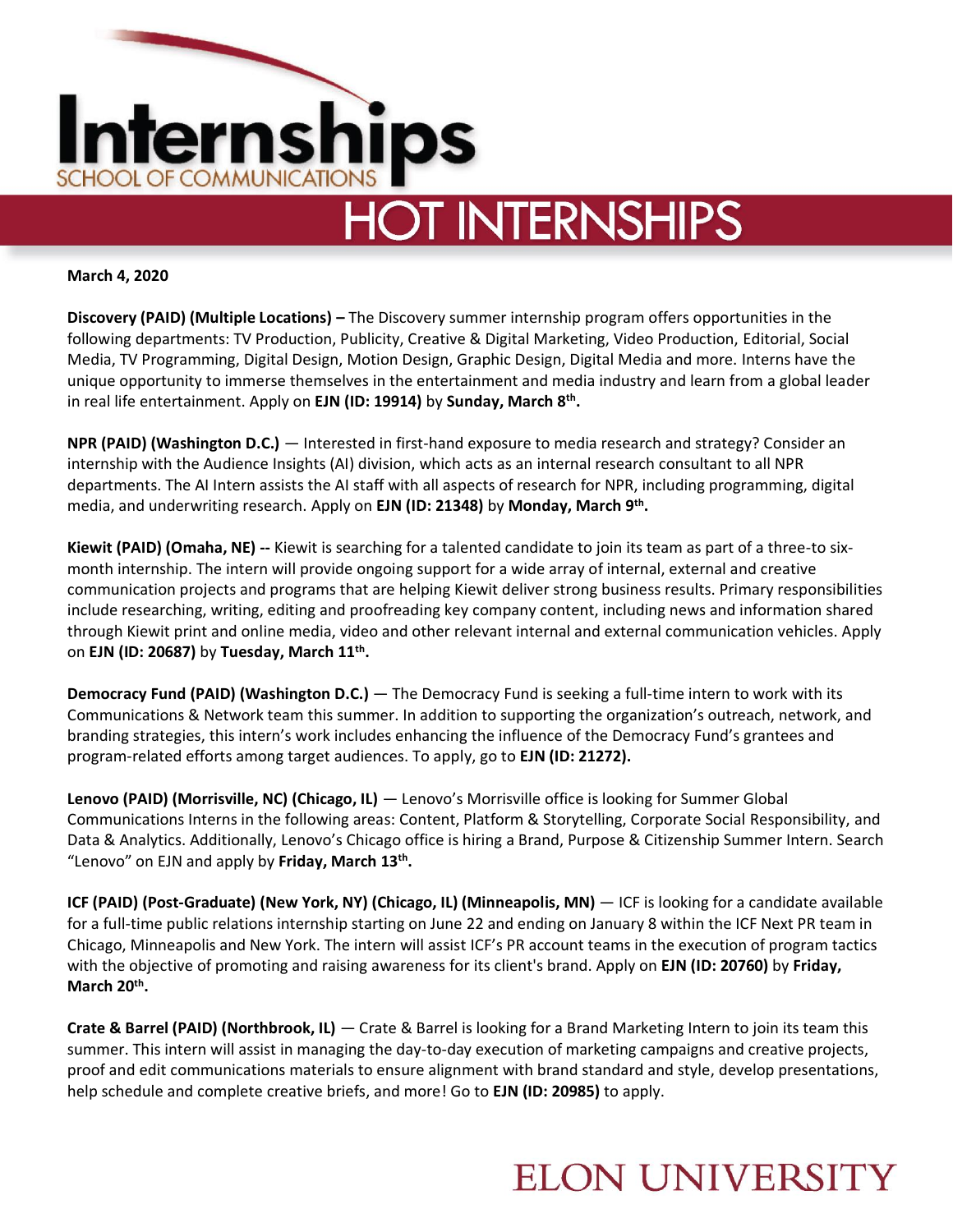

**March 4, 2020**

**Discovery (PAID) (Multiple Locations) –** The Discovery summer internship program offers opportunities in the following departments: TV Production, Publicity, Creative & Digital Marketing, Video Production, Editorial, Social Media, TV Programming, Digital Design, Motion Design, Graphic Design, Digital Media and more. Interns have the unique opportunity to immerse themselves in the entertainment and media industry and learn from a global leader in real life entertainment. Apply on **EJN (ID: 19914)** by **Sunday, March 8th .** 

**NPR (PAID) (Washington D.C.)** — Interested in first-hand exposure to media research and strategy? Consider an internship with the Audience Insights (AI) division, which acts as an internal research consultant to all NPR departments. The AI Intern assists the AI staff with all aspects of research for NPR, including programming, digital media, and underwriting research. Apply on **EJN (ID: 21348)** by **Monday, March 9th .** 

**Kiewit (PAID) (Omaha, NE) --** Kiewit is searching for a talented candidate to join its team as part of a three-to sixmonth internship. The intern will provide ongoing support for a wide array of internal, external and creative communication projects and programs that are helping Kiewit deliver strong business results. Primary responsibilities include researching, writing, editing and proofreading key company content, including news and information shared through Kiewit print and online media, video and other relevant internal and external communication vehicles. Apply on **EJN (ID: 20687)** by **Tuesday, March 11th .** 

**Democracy Fund (PAID) (Washington D.C.)** — The Democracy Fund is seeking a full-time intern to work with its Communications & Network team this summer. In addition to supporting the organization's outreach, network, and branding strategies, this intern's work includes enhancing the influence of the Democracy Fund's grantees and program-related efforts among target audiences. To apply, go to **EJN (ID: 21272).**

**Lenovo (PAID) (Morrisville, NC) (Chicago, IL)** — Lenovo's Morrisville office is looking for Summer Global Communications Interns in the following areas: Content, Platform & Storytelling, Corporate Social Responsibility, and Data & Analytics. Additionally, Lenovo's Chicago office is hiring a Brand, Purpose & Citizenship Summer Intern. Search "Lenovo" on EJN and apply by **Friday, March 13th .** 

**ICF (PAID) (Post-Graduate) (New York, NY) (Chicago, IL) (Minneapolis, MN)** — ICF is looking for a candidate available for a full-time public relations internship starting on June 22 and ending on January 8 within the ICF Next PR team in Chicago, Minneapolis and New York. The intern will assist ICF's PR account teams in the execution of program tactics with the objective of promoting and raising awareness for its client's brand. Apply on **EJN (ID: 20760)** by **Friday, March 20th .** 

**Crate & Barrel (PAID) (Northbrook, IL)** — Crate & Barrel is looking for a Brand Marketing Intern to join its team this summer. This intern will assist in managing the day-to-day execution of marketing campaigns and creative projects, proof and edit communications materials to ensure alignment with brand standard and style, develop presentations, help schedule and complete creative briefs, and more! Go to **EJN (ID: 20985)** to apply.

### **ELON UNIVERSITY**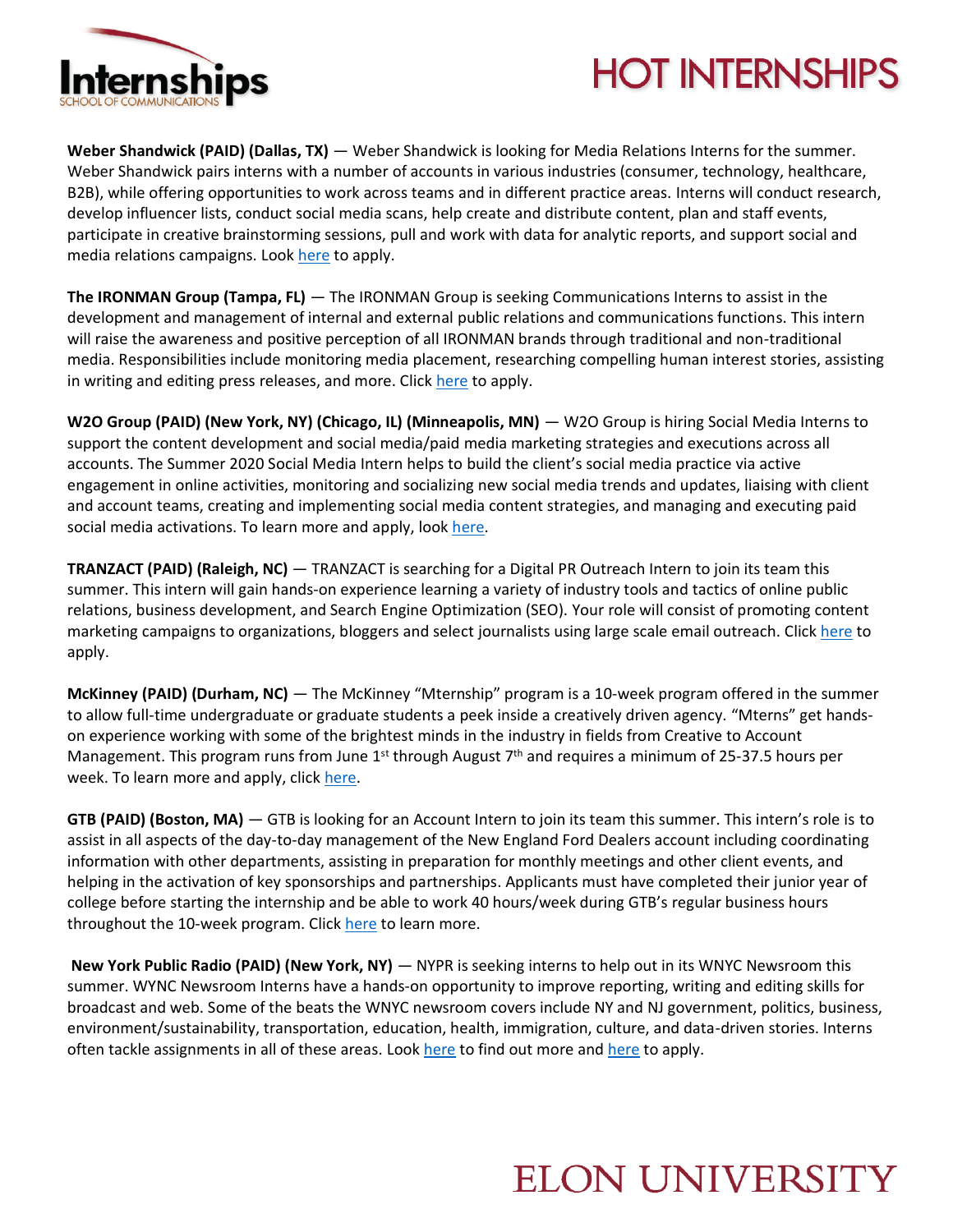

# **HOT INTERNSHIPS**

**Weber Shandwick (PAID) (Dallas, TX)** — Weber Shandwick is looking for Media Relations Interns for the summer. Weber Shandwick pairs interns with a number of accounts in various industries (consumer, technology, healthcare, B2B), while offering opportunities to work across teams and in different practice areas. Interns will conduct research, develop influencer lists, conduct social media scans, help create and distribute content, plan and staff events, participate in creative brainstorming sessions, pull and work with data for analytic reports, and support social and media relations campaigns. Loo[k here](https://www.webershandwick.com/work-at-weber/careers/?gh_jid=4671372002) to apply.

**The IRONMAN Group (Tampa, FL)** — The IRONMAN Group is seeking Communications Interns to assist in the development and management of internal and external public relations and communications functions. This intern will raise the awareness and positive perception of all IRONMAN brands through traditional and non-traditional media. Responsibilities include monitoring media placement, researching compelling human interest stories, assisting in writing and editing press releases, and more. Click [here](https://www.teamworkonline.com/other-sports-jobs/ironman/ironman/communications-internship-1971125) to apply.

**W2O Group (PAID) (New York, NY) (Chicago, IL) (Minneapolis, MN)** — W2O Group is hiring Social Media Interns to support the content development and social media/paid media marketing strategies and executions across all accounts. The Summer 2020 Social Media Intern helps to build the client's social media practice via active engagement in online activities, monitoring and socializing new social media trends and updates, liaising with client and account teams, creating and implementing social media content strategies, and managing and executing paid social media activations. To learn more and apply, loo[k here.](https://www.w2ogroup.com/apply/?gh_jid=4672524002&gh_src=77c4bebb2)

**TRANZACT (PAID) (Raleigh, NC)** — TRANZACT is searching for a Digital PR Outreach Intern to join its team this summer. This intern will gain hands-on experience learning a variety of industry tools and tactics of online public relations, business development, and Search Engine Optimization (SEO). Your role will consist of promoting content marketing campaigns to organizations, bloggers and select journalists using large scale email outreach. Click [here](https://workforcenow.adp.com/mascsr/default/mdf/recruitment/recruitment.html?cid=9bbcfcc4-86f6-4315-a3a1-628363b52ec1&jobId=332401&lang=en_US&source=LI) to apply.

**McKinney (PAID) (Durham, NC)** — The McKinney "Mternship" program is a 10-week program offered in the summer to allow full-time undergraduate or graduate students a peek inside a creatively driven agency. "Mterns" get handson experience working with some of the brightest minds in the industry in fields from Creative to Account Management. This program runs from June  $1^{st}$  through August  $7^{th}$  and requires a minimum of 25-37.5 hours per week. To learn more and apply, click [here.](https://mckinney.com/careers/?gh_jid=2010699)

**GTB (PAID) (Boston, MA)** — GTB is looking for an Account Intern to join its team this summer. This intern's role is to assist in all aspects of the day-to-day management of the New England Ford Dealers account including coordinating information with other departments, assisting in preparation for monthly meetings and other client events, and helping in the activation of key sponsorships and partnerships. Applicants must have completed their junior year of college before starting the internship and be able to work 40 hours/week during GTB's regular business hours throughout the 10-week program. Click [here](https://gtb.taleo.net/careersection/ex/jobdetail.ftl?job=025096&lang=en) to learn more.

**New York Public Radio (PAID) (New York, NY)** — NYPR is seeking interns to help out in its WNYC Newsroom this summer. WYNC Newsroom Interns have a hands-on opportunity to improve reporting, writing and editing skills for broadcast and web. Some of the beats the WNYC newsroom covers include NY and NJ government, politics, business, environment/sustainability, transportation, education, health, immigration, culture, and data-driven stories. Interns often tackle assignments in all of these areas. Look [here](https://www.linkedin.com/jobs/view/1747472420) to find out more an[d here](http://jobs.jobvite.com/careers/newyork-public-radio/job/o5Uecfw9/apply?__jvst=Job+Board&__jvsd=LinkedInFree) to apply.

### **ELON UNIVERSITY**